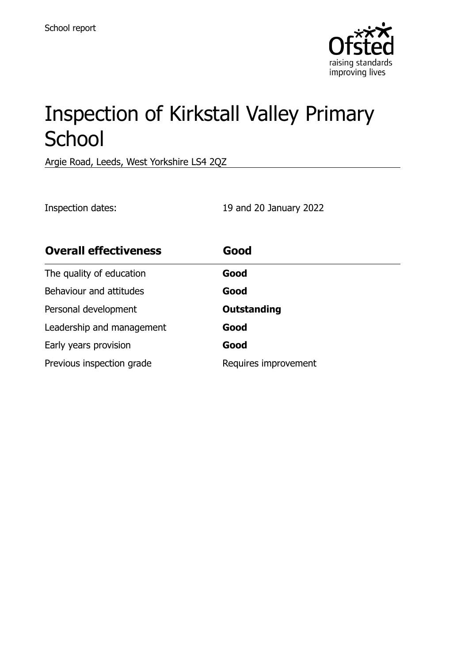

# Inspection of Kirkstall Valley Primary **School**

Argie Road, Leeds, West Yorkshire LS4 2QZ

Inspection dates: 19 and 20 January 2022

| <b>Overall effectiveness</b> | Good                 |
|------------------------------|----------------------|
| The quality of education     | Good                 |
| Behaviour and attitudes      | Good                 |
| Personal development         | <b>Outstanding</b>   |
| Leadership and management    | Good                 |
| Early years provision        | Good                 |
| Previous inspection grade    | Requires improvement |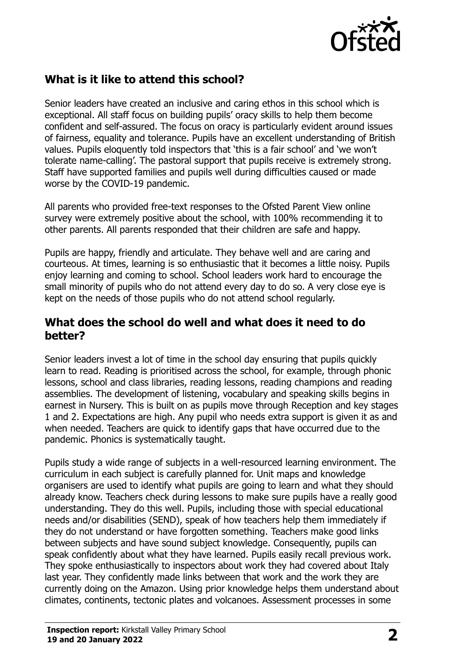

# **What is it like to attend this school?**

Senior leaders have created an inclusive and caring ethos in this school which is exceptional. All staff focus on building pupils' oracy skills to help them become confident and self-assured. The focus on oracy is particularly evident around issues of fairness, equality and tolerance. Pupils have an excellent understanding of British values. Pupils eloquently told inspectors that 'this is a fair school' and 'we won't tolerate name-calling'. The pastoral support that pupils receive is extremely strong. Staff have supported families and pupils well during difficulties caused or made worse by the COVID-19 pandemic.

All parents who provided free-text responses to the Ofsted Parent View online survey were extremely positive about the school, with 100% recommending it to other parents. All parents responded that their children are safe and happy.

Pupils are happy, friendly and articulate. They behave well and are caring and courteous. At times, learning is so enthusiastic that it becomes a little noisy. Pupils enjoy learning and coming to school. School leaders work hard to encourage the small minority of pupils who do not attend every day to do so. A very close eye is kept on the needs of those pupils who do not attend school regularly.

#### **What does the school do well and what does it need to do better?**

Senior leaders invest a lot of time in the school day ensuring that pupils quickly learn to read. Reading is prioritised across the school, for example, through phonic lessons, school and class libraries, reading lessons, reading champions and reading assemblies. The development of listening, vocabulary and speaking skills begins in earnest in Nursery. This is built on as pupils move through Reception and key stages 1 and 2. Expectations are high. Any pupil who needs extra support is given it as and when needed. Teachers are quick to identify gaps that have occurred due to the pandemic. Phonics is systematically taught.

Pupils study a wide range of subjects in a well-resourced learning environment. The curriculum in each subject is carefully planned for. Unit maps and knowledge organisers are used to identify what pupils are going to learn and what they should already know. Teachers check during lessons to make sure pupils have a really good understanding. They do this well. Pupils, including those with special educational needs and/or disabilities (SEND), speak of how teachers help them immediately if they do not understand or have forgotten something. Teachers make good links between subjects and have sound subject knowledge. Consequently, pupils can speak confidently about what they have learned. Pupils easily recall previous work. They spoke enthusiastically to inspectors about work they had covered about Italy last year. They confidently made links between that work and the work they are currently doing on the Amazon. Using prior knowledge helps them understand about climates, continents, tectonic plates and volcanoes. Assessment processes in some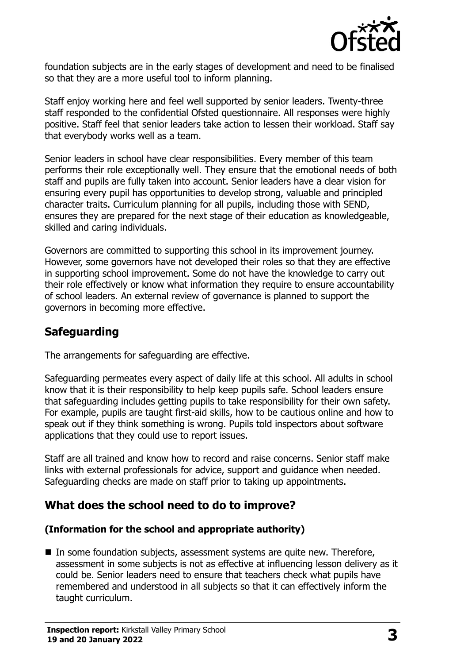

foundation subjects are in the early stages of development and need to be finalised so that they are a more useful tool to inform planning.

Staff enjoy working here and feel well supported by senior leaders. Twenty-three staff responded to the confidential Ofsted questionnaire. All responses were highly positive. Staff feel that senior leaders take action to lessen their workload. Staff say that everybody works well as a team.

Senior leaders in school have clear responsibilities. Every member of this team performs their role exceptionally well. They ensure that the emotional needs of both staff and pupils are fully taken into account. Senior leaders have a clear vision for ensuring every pupil has opportunities to develop strong, valuable and principled character traits. Curriculum planning for all pupils, including those with SEND, ensures they are prepared for the next stage of their education as knowledgeable, skilled and caring individuals.

Governors are committed to supporting this school in its improvement journey. However, some governors have not developed their roles so that they are effective in supporting school improvement. Some do not have the knowledge to carry out their role effectively or know what information they require to ensure accountability of school leaders. An external review of governance is planned to support the governors in becoming more effective.

## **Safeguarding**

The arrangements for safeguarding are effective.

Safeguarding permeates every aspect of daily life at this school. All adults in school know that it is their responsibility to help keep pupils safe. School leaders ensure that safeguarding includes getting pupils to take responsibility for their own safety. For example, pupils are taught first-aid skills, how to be cautious online and how to speak out if they think something is wrong. Pupils told inspectors about software applications that they could use to report issues.

Staff are all trained and know how to record and raise concerns. Senior staff make links with external professionals for advice, support and guidance when needed. Safeguarding checks are made on staff prior to taking up appointments.

#### **What does the school need to do to improve?**

#### **(Information for the school and appropriate authority)**

■ In some foundation subjects, assessment systems are quite new. Therefore, assessment in some subjects is not as effective at influencing lesson delivery as it could be. Senior leaders need to ensure that teachers check what pupils have remembered and understood in all subjects so that it can effectively inform the taught curriculum.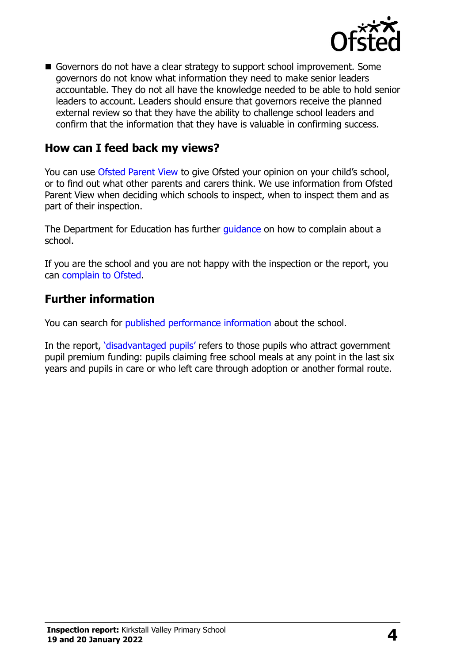

Governors do not have a clear strategy to support school improvement. Some governors do not know what information they need to make senior leaders accountable. They do not all have the knowledge needed to be able to hold senior leaders to account. Leaders should ensure that governors receive the planned external review so that they have the ability to challenge school leaders and confirm that the information that they have is valuable in confirming success.

## **How can I feed back my views?**

You can use [Ofsted Parent View](http://parentview.ofsted.gov.uk/) to give Ofsted your opinion on your child's school, or to find out what other parents and carers think. We use information from Ofsted Parent View when deciding which schools to inspect, when to inspect them and as part of their inspection.

The Department for Education has further quidance on how to complain about a school.

If you are the school and you are not happy with the inspection or the report, you can [complain to Ofsted.](http://www.gov.uk/complain-ofsted-report)

#### **Further information**

You can search for [published performance information](http://www.compare-school-performance.service.gov.uk/) about the school.

In the report, '[disadvantaged pupils](http://www.gov.uk/guidance/pupil-premium-information-for-schools-and-alternative-provision-settings)' refers to those pupils who attract government pupil premium funding: pupils claiming free school meals at any point in the last six years and pupils in care or who left care through adoption or another formal route.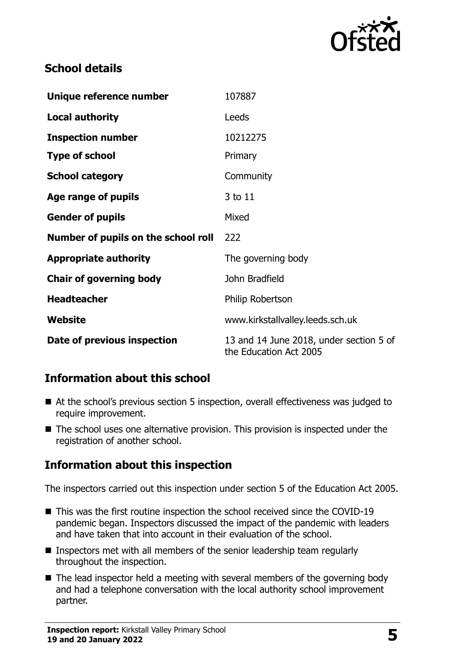

# **School details**

| Unique reference number             | 107887                                                            |
|-------------------------------------|-------------------------------------------------------------------|
| <b>Local authority</b>              | Leeds                                                             |
| <b>Inspection number</b>            | 10212275                                                          |
| <b>Type of school</b>               | Primary                                                           |
| <b>School category</b>              | Community                                                         |
| Age range of pupils                 | 3 to 11                                                           |
| <b>Gender of pupils</b>             | Mixed                                                             |
| Number of pupils on the school roll | 222                                                               |
| <b>Appropriate authority</b>        | The governing body                                                |
| <b>Chair of governing body</b>      | John Bradfield                                                    |
| <b>Headteacher</b>                  | Philip Robertson                                                  |
| Website                             | www.kirkstallvalley.leeds.sch.uk                                  |
| Date of previous inspection         | 13 and 14 June 2018, under section 5 of<br>the Education Act 2005 |

# **Information about this school**

- At the school's previous section 5 inspection, overall effectiveness was judged to require improvement.
- The school uses one alternative provision. This provision is inspected under the registration of another school.

# **Information about this inspection**

The inspectors carried out this inspection under section 5 of the Education Act 2005.

- This was the first routine inspection the school received since the COVID-19 pandemic began. Inspectors discussed the impact of the pandemic with leaders and have taken that into account in their evaluation of the school.
- Inspectors met with all members of the senior leadership team regularly throughout the inspection.
- The lead inspector held a meeting with several members of the governing body and had a telephone conversation with the local authority school improvement partner.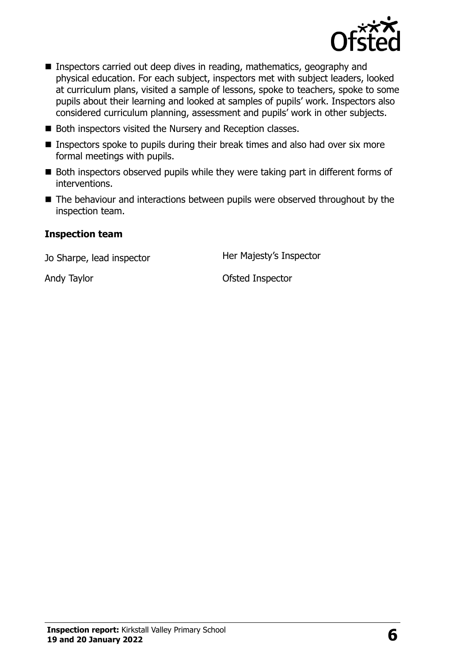

- Inspectors carried out deep dives in reading, mathematics, geography and physical education. For each subject, inspectors met with subject leaders, looked at curriculum plans, visited a sample of lessons, spoke to teachers, spoke to some pupils about their learning and looked at samples of pupils' work. Inspectors also considered curriculum planning, assessment and pupils' work in other subjects.
- Both inspectors visited the Nursery and Reception classes.
- Inspectors spoke to pupils during their break times and also had over six more formal meetings with pupils.
- Both inspectors observed pupils while they were taking part in different forms of interventions.
- The behaviour and interactions between pupils were observed throughout by the inspection team.

#### **Inspection team**

Jo Sharpe, lead inspector **Her Majesty's Inspector** 

Andy Taylor **Andy Taylor** Christian Andy Taylor